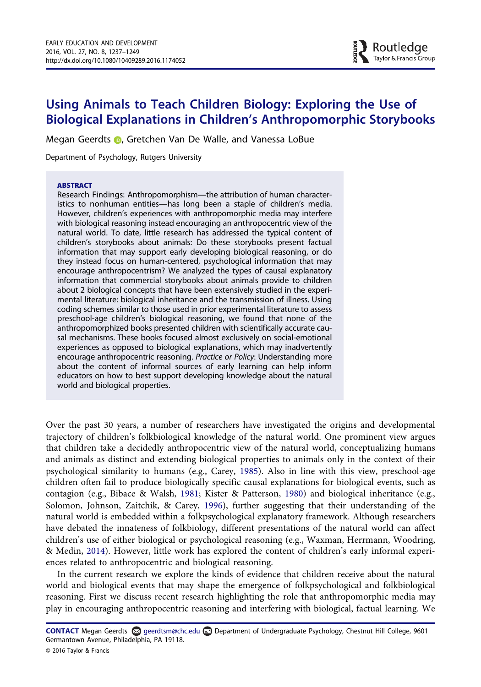# Using Animals to Teach Children Biology: Exploring the Use of Biological Explanations in Children's Anthropomorphic Storybooks

Megan Geerdt[s](http://orcid.org/0000-0003-4398-0128) **D**, Gretchen Van De Walle, and Vanessa LoBue

Department of Psychology, Rutgers University

#### ABSTRACT

Research Findings: Anthropomorphism—the attribution of human characteristics to nonhuman entities—has long been a staple of children's media. However, children's experiences with anthropomorphic media may interfere with biological reasoning instead encouraging an anthropocentric view of the natural world. To date, little research has addressed the typical content of children's storybooks about animals: Do these storybooks present factual information that may support early developing biological reasoning, or do they instead focus on human-centered, psychological information that may encourage anthropocentrism? We analyzed the types of causal explanatory information that commercial storybooks about animals provide to children about 2 biological concepts that have been extensively studied in the experimental literature: biological inheritance and the transmission of illness. Using coding schemes similar to those used in prior experimental literature to assess preschool-age children's biological reasoning, we found that none of the anthropomorphized books presented children with scientifically accurate causal mechanisms. These books focused almost exclusively on social-emotional experiences as opposed to biological explanations, which may inadvertently encourage anthropocentric reasoning. Practice or Policy: Understanding more about the content of informal sources of early learning can help inform educators on how to best support developing knowledge about the natural world and biological properties.

Over the past 30 years, a number of researchers have investigated the origins and developmental trajectory of children's folkbiological knowledge of the natural world. One prominent view argues that children take a decidedly anthropocentric view of the natural world, conceptualizing humans and animals as distinct and extending biological properties to animals only in the context of their psychological similarity to humans (e.g., Carey, [1985](#page-10-0)). Also in line with this view, preschool-age children often fail to produce biologically specific causal explanations for biological events, such as contagion (e.g., Bibace & Walsh, [1981](#page-9-0); Kister & Patterson, [1980\)](#page-10-1) and biological inheritance (e.g., Solomon, Johnson, Zaitchik, & Carey, [1996](#page-10-2)), further suggesting that their understanding of the natural world is embedded within a folkpsychological explanatory framework. Although researchers have debated the innateness of folkbiology, different presentations of the natural world can affect children's use of either biological or psychological reasoning (e.g., Waxman, Herrmann, Woodring, & Medin, [2014\)](#page-11-0). However, little work has explored the content of children's early informal experiences related to anthropocentric and biological reasoning.

In the current research we explore the kinds of evidence that children receive about the natural world and biological events that may shape the emergence of folkpsychological and folkbiological reasoning. First we discuss recent research highlighting the role that anthropomorphic media may play in encouraging anthropocentric reasoning and interfering with biological, factual learning. We

CONTACT Megan Geerdts geerdtsm@chc.edu Department of Undergraduate Psychology, Chestnut Hill College, 9601 Germantown Avenue, Philadelphia, PA 19118.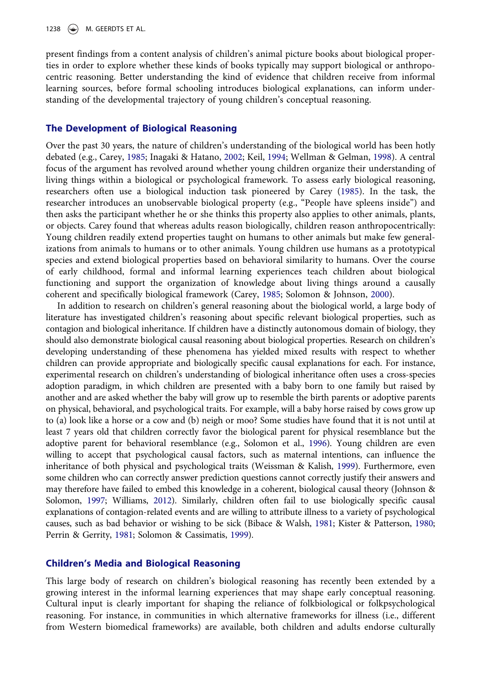1238  $(\rightarrow)$  M. GEERDTS ET AL.

present findings from a content analysis of children's animal picture books about biological properties in order to explore whether these kinds of books typically may support biological or anthropocentric reasoning. Better understanding the kind of evidence that children receive from informal learning sources, before formal schooling introduces biological explanations, can inform understanding of the developmental trajectory of young children's conceptual reasoning.

# The Development of Biological Reasoning

Over the past 30 years, the nature of children's understanding of the biological world has been hotly debated (e.g., Carey, [1985](#page-10-0); Inagaki & Hatano, [2002;](#page-10-3) Keil, [1994](#page-10-4); Wellman & Gelman, [1998](#page-11-1)). A central focus of the argument has revolved around whether young children organize their understanding of living things within a biological or psychological framework. To assess early biological reasoning, researchers often use a biological induction task pioneered by Carey ([1985](#page-10-0)). In the task, the researcher introduces an unobservable biological property (e.g., "People have spleens inside") and then asks the participant whether he or she thinks this property also applies to other animals, plants, or objects. Carey found that whereas adults reason biologically, children reason anthropocentrically: Young children readily extend properties taught on humans to other animals but make few generalizations from animals to humans or to other animals. Young children use humans as a prototypical species and extend biological properties based on behavioral similarity to humans. Over the course of early childhood, formal and informal learning experiences teach children about biological functioning and support the organization of knowledge about living things around a causally coherent and specifically biological framework (Carey, [1985;](#page-10-0) Solomon & Johnson, [2000\)](#page-10-5).

In addition to research on children's general reasoning about the biological world, a large body of literature has investigated children's reasoning about specific relevant biological properties, such as contagion and biological inheritance. If children have a distinctly autonomous domain of biology, they should also demonstrate biological causal reasoning about biological properties. Research on children's developing understanding of these phenomena has yielded mixed results with respect to whether children can provide appropriate and biologically specific causal explanations for each. For instance, experimental research on children's understanding of biological inheritance often uses a cross-species adoption paradigm, in which children are presented with a baby born to one family but raised by another and are asked whether the baby will grow up to resemble the birth parents or adoptive parents on physical, behavioral, and psychological traits. For example, will a baby horse raised by cows grow up to (a) look like a horse or a cow and (b) neigh or moo? Some studies have found that it is not until at least 7 years old that children correctly favor the biological parent for physical resemblance but the adoptive parent for behavioral resemblance (e.g., Solomon et al., [1996](#page-10-2)). Young children are even willing to accept that psychological causal factors, such as maternal intentions, can influence the inheritance of both physical and psychological traits (Weissman & Kalish, [1999\)](#page-11-2). Furthermore, even some children who can correctly answer prediction questions cannot correctly justify their answers and may therefore have failed to embed this knowledge in a coherent, biological causal theory (Johnson & Solomon, [1997;](#page-10-6) Williams, [2012\)](#page-11-3). Similarly, children often fail to use biologically specific causal explanations of contagion-related events and are willing to attribute illness to a variety of psychological causes, such as bad behavior or wishing to be sick (Bibace & Walsh, [1981;](#page-9-0) Kister & Patterson, [1980;](#page-10-1) Perrin & Gerrity, [1981](#page-10-7); Solomon & Cassimatis, [1999](#page-10-8)).

# Children's Media and Biological Reasoning

This large body of research on children's biological reasoning has recently been extended by a growing interest in the informal learning experiences that may shape early conceptual reasoning. Cultural input is clearly important for shaping the reliance of folkbiological or folkpsychological reasoning. For instance, in communities in which alternative frameworks for illness (i.e., different from Western biomedical frameworks) are available, both children and adults endorse culturally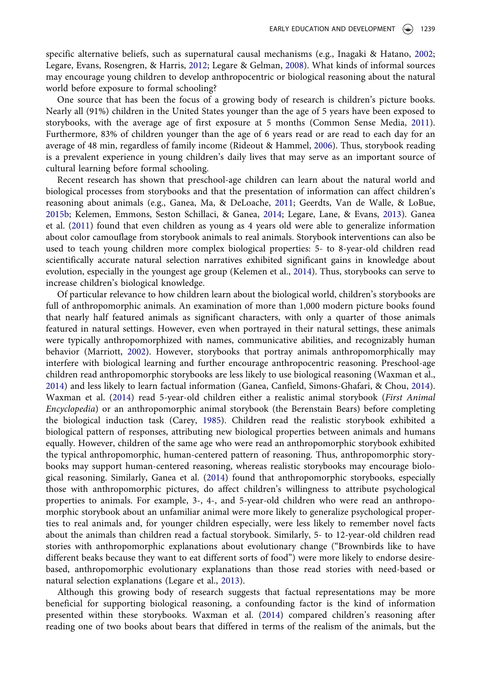specific alternative beliefs, such as supernatural causal mechanisms (e.g., Inagaki & Hatano, [2002;](#page-10-3) Legare, Evans, Rosengren, & Harris, [2012](#page-10-9); Legare & Gelman, [2008](#page-10-10)). What kinds of informal sources may encourage young children to develop anthropocentric or biological reasoning about the natural world before exposure to formal schooling?

One source that has been the focus of a growing body of research is children's picture books. Nearly all (91%) children in the United States younger than the age of 5 years have been exposed to storybooks, with the average age of first exposure at 5 months (Common Sense Media, [2011](#page-10-11)). Furthermore, 83% of children younger than the age of 6 years read or are read to each day for an average of 48 min, regardless of family income (Rideout & Hammel, [2006](#page-10-12)). Thus, storybook reading is a prevalent experience in young children's daily lives that may serve as an important source of cultural learning before formal schooling.

Recent research has shown that preschool-age children can learn about the natural world and biological processes from storybooks and that the presentation of information can affect children's reasoning about animals (e.g., Ganea, Ma, & DeLoache, [2011](#page-10-13); Geerdts, Van de Walle, & LoBue, [2015b](#page-10-14); Kelemen, Emmons, Seston Schillaci, & Ganea, [2014](#page-10-15); Legare, Lane, & Evans, [2013\)](#page-10-16). Ganea et al. [\(2011](#page-10-13)) found that even children as young as 4 years old were able to generalize information about color camouflage from storybook animals to real animals. Storybook interventions can also be used to teach young children more complex biological properties: 5- to 8-year-old children read scientifically accurate natural selection narratives exhibited significant gains in knowledge about evolution, especially in the youngest age group (Kelemen et al., [2014\)](#page-10-15). Thus, storybooks can serve to increase children's biological knowledge.

Of particular relevance to how children learn about the biological world, children's storybooks are full of anthropomorphic animals. An examination of more than 1,000 modern picture books found that nearly half featured animals as significant characters, with only a quarter of those animals featured in natural settings. However, even when portrayed in their natural settings, these animals were typically anthropomorphized with names, communicative abilities, and recognizably human behavior (Marriott, [2002\)](#page-10-17). However, storybooks that portray animals anthropomorphically may interfere with biological learning and further encourage anthropocentric reasoning. Preschool-age children read anthropomorphic storybooks are less likely to use biological reasoning (Waxman et al., [2014](#page-11-0)) and less likely to learn factual information (Ganea, Canfield, Simons-Ghafari, & Chou, [2014](#page-10-18)). Waxman et al. [\(2014](#page-11-0)) read 5-year-old children either a realistic animal storybook (First Animal Encyclopedia) or an anthropomorphic animal storybook (the Berenstain Bears) before completing the biological induction task (Carey, [1985\)](#page-10-0). Children read the realistic storybook exhibited a biological pattern of responses, attributing new biological properties between animals and humans equally. However, children of the same age who were read an anthropomorphic storybook exhibited the typical anthropomorphic, human-centered pattern of reasoning. Thus, anthropomorphic storybooks may support human-centered reasoning, whereas realistic storybooks may encourage biological reasoning. Similarly, Ganea et al. ([2014\)](#page-10-18) found that anthropomorphic storybooks, especially those with anthropomorphic pictures, do affect children's willingness to attribute psychological properties to animals. For example, 3-, 4-, and 5-year-old children who were read an anthropomorphic storybook about an unfamiliar animal were more likely to generalize psychological properties to real animals and, for younger children especially, were less likely to remember novel facts about the animals than children read a factual storybook. Similarly, 5- to 12-year-old children read stories with anthropomorphic explanations about evolutionary change ("Brownbirds like to have different beaks because they want to eat different sorts of food") were more likely to endorse desirebased, anthropomorphic evolutionary explanations than those read stories with need-based or natural selection explanations (Legare et al., [2013\)](#page-10-16).

Although this growing body of research suggests that factual representations may be more beneficial for supporting biological reasoning, a confounding factor is the kind of information presented within these storybooks. Waxman et al. [\(2014\)](#page-11-0) compared children's reasoning after reading one of two books about bears that differed in terms of the realism of the animals, but the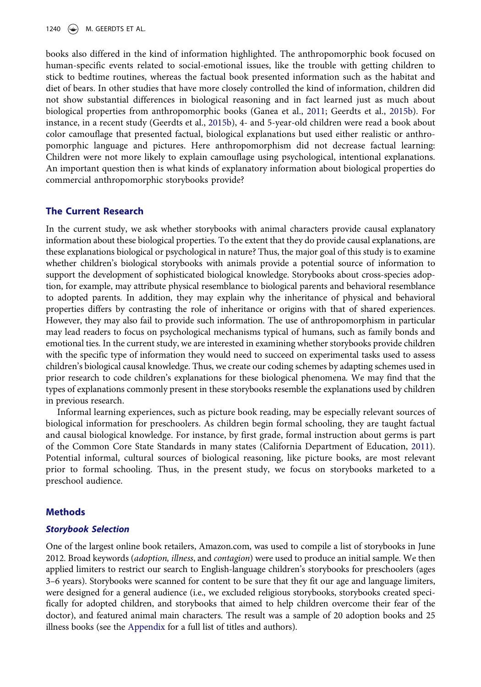books also differed in the kind of information highlighted. The anthropomorphic book focused on human-specific events related to social-emotional issues, like the trouble with getting children to stick to bedtime routines, whereas the factual book presented information such as the habitat and diet of bears. In other studies that have more closely controlled the kind of information, children did not show substantial differences in biological reasoning and in fact learned just as much about biological properties from anthropomorphic books (Ganea et al., [2011;](#page-10-13) Geerdts et al., [2015b](#page-10-14)). For instance, in a recent study (Geerdts et al., [2015b\)](#page-10-14), 4- and 5-year-old children were read a book about color camouflage that presented factual, biological explanations but used either realistic or anthropomorphic language and pictures. Here anthropomorphism did not decrease factual learning: Children were not more likely to explain camouflage using psychological, intentional explanations. An important question then is what kinds of explanatory information about biological properties do commercial anthropomorphic storybooks provide?

### The Current Research

In the current study, we ask whether storybooks with animal characters provide causal explanatory information about these biological properties. To the extent that they do provide causal explanations, are these explanations biological or psychological in nature? Thus, the major goal of this study is to examine whether children's biological storybooks with animals provide a potential source of information to support the development of sophisticated biological knowledge. Storybooks about cross-species adoption, for example, may attribute physical resemblance to biological parents and behavioral resemblance to adopted parents. In addition, they may explain why the inheritance of physical and behavioral properties differs by contrasting the role of inheritance or origins with that of shared experiences. However, they may also fail to provide such information. The use of anthropomorphism in particular may lead readers to focus on psychological mechanisms typical of humans, such as family bonds and emotional ties. In the current study, we are interested in examining whether storybooks provide children with the specific type of information they would need to succeed on experimental tasks used to assess children's biological causal knowledge. Thus, we create our coding schemes by adapting schemes used in prior research to code children's explanations for these biological phenomena. We may find that the types of explanations commonly present in these storybooks resemble the explanations used by children in previous research.

Informal learning experiences, such as picture book reading, may be especially relevant sources of biological information for preschoolers. As children begin formal schooling, they are taught factual and causal biological knowledge. For instance, by first grade, formal instruction about germs is part of the Common Core State Standards in many states (California Department of Education, [2011](#page-10-19)). Potential informal, cultural sources of biological reasoning, like picture books, are most relevant prior to formal schooling. Thus, in the present study, we focus on storybooks marketed to a preschool audience.

# **Methods**

#### Storybook Selection

One of the largest online book retailers, Amazon.com, was used to compile a list of storybooks in June 2012. Broad keywords (*adoption*, *illness*, and *contagion*) were used to produce an initial sample. We then applied limiters to restrict our search to English-language children's storybooks for preschoolers (ages 3–6 years). Storybooks were scanned for content to be sure that they fit our age and language limiters, were designed for a general audience (i.e., we excluded religious storybooks, storybooks created specifically for adopted children, and storybooks that aimed to help children overcome their fear of the doctor), and featured animal main characters. The result was a sample of 20 adoption books and 25 illness books (see the Appendix for a full list of titles and authors).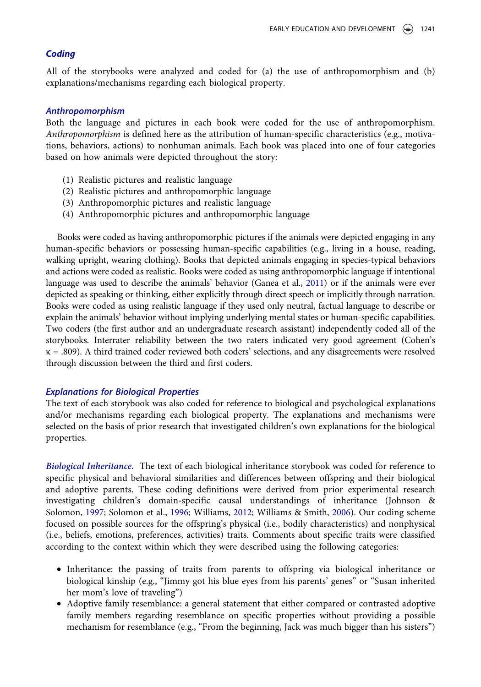### **Coding**

All of the storybooks were analyzed and coded for (a) the use of anthropomorphism and (b) explanations/mechanisms regarding each biological property.

### Anthropomorphism

Both the language and pictures in each book were coded for the use of anthropomorphism. Anthropomorphism is defined here as the attribution of human-specific characteristics (e.g., motivations, behaviors, actions) to nonhuman animals. Each book was placed into one of four categories based on how animals were depicted throughout the story:

- (1) Realistic pictures and realistic language
- (2) Realistic pictures and anthropomorphic language
- (3) Anthropomorphic pictures and realistic language
- (4) Anthropomorphic pictures and anthropomorphic language

Books were coded as having anthropomorphic pictures if the animals were depicted engaging in any human-specific behaviors or possessing human-specific capabilities (e.g., living in a house, reading, walking upright, wearing clothing). Books that depicted animals engaging in species-typical behaviors and actions were coded as realistic. Books were coded as using anthropomorphic language if intentional language was used to describe the animals' behavior (Ganea et al., [2011](#page-10-13)) or if the animals were ever depicted as speaking or thinking, either explicitly through direct speech or implicitly through narration. Books were coded as using realistic language if they used only neutral, factual language to describe or explain the animals' behavior without implying underlying mental states or human-specific capabilities. Two coders (the first author and an undergraduate research assistant) independently coded all of the storybooks. Interrater reliability between the two raters indicated very good agreement (Cohen's  $\kappa$  = .809). A third trained coder reviewed both coders' selections, and any disagreements were resolved through discussion between the third and first coders.

### Explanations for Biological Properties

The text of each storybook was also coded for reference to biological and psychological explanations and/or mechanisms regarding each biological property. The explanations and mechanisms were selected on the basis of prior research that investigated children's own explanations for the biological properties.

Biological Inheritance. The text of each biological inheritance storybook was coded for reference to specific physical and behavioral similarities and differences between offspring and their biological and adoptive parents. These coding definitions were derived from prior experimental research investigating children's domain-specific causal understandings of inheritance (Johnson & Solomon, [1997;](#page-10-6) Solomon et al., [1996;](#page-10-2) Williams, [2012;](#page-11-3) Williams & Smith, [2006](#page-11-4)). Our coding scheme focused on possible sources for the offspring's physical (i.e., bodily characteristics) and nonphysical (i.e., beliefs, emotions, preferences, activities) traits. Comments about specific traits were classified according to the context within which they were described using the following categories:

- Inheritance: the passing of traits from parents to offspring via biological inheritance or biological kinship (e.g., "Jimmy got his blue eyes from his parents' genes" or "Susan inherited her mom's love of traveling")
- Adoptive family resemblance: a general statement that either compared or contrasted adoptive family members regarding resemblance on specific properties without providing a possible mechanism for resemblance (e.g., "From the beginning, Jack was much bigger than his sisters")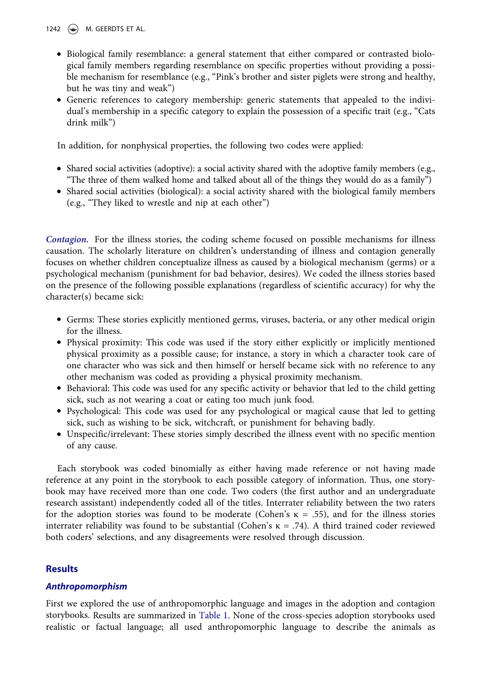- Biological family resemblance: a general statement that either compared or contrasted biological family members regarding resemblance on specific properties without providing a possible mechanism for resemblance (e.g., "Pink's brother and sister piglets were strong and healthy, but he was tiny and weak")
- Generic references to category membership: generic statements that appealed to the individual's membership in a specific category to explain the possession of a specific trait (e.g., "Cats drink milk")

In addition, for nonphysical properties, the following two codes were applied:

- Shared social activities (adoptive): a social activity shared with the adoptive family members (e.g., "The three of them walked home and talked about all of the things they would do as a family")
- Shared social activities (biological): a social activity shared with the biological family members (e.g., "They liked to wrestle and nip at each other")

Contagion. For the illness stories, the coding scheme focused on possible mechanisms for illness causation. The scholarly literature on children's understanding of illness and contagion generally focuses on whether children conceptualize illness as caused by a biological mechanism (germs) or a psychological mechanism (punishment for bad behavior, desires). We coded the illness stories based on the presence of the following possible explanations (regardless of scientific accuracy) for why the character(s) became sick:

- Germs: These stories explicitly mentioned germs, viruses, bacteria, or any other medical origin for the illness.
- Physical proximity: This code was used if the story either explicitly or implicitly mentioned physical proximity as a possible cause; for instance, a story in which a character took care of one character who was sick and then himself or herself became sick with no reference to any other mechanism was coded as providing a physical proximity mechanism.
- Behavioral: This code was used for any specific activity or behavior that led to the child getting sick, such as not wearing a coat or eating too much junk food.
- Psychological: This code was used for any psychological or magical cause that led to getting sick, such as wishing to be sick, witchcraft, or punishment for behaving badly.
- Unspecific/irrelevant: These stories simply described the illness event with no specific mention of any cause.

Each storybook was coded binomially as either having made reference or not having made reference at any point in the storybook to each possible category of information. Thus, one storybook may have received more than one code. Two coders (the first author and an undergraduate research assistant) independently coded all of the titles. Interrater reliability between the two raters for the adoption stories was found to be moderate (Cohen's  $\kappa = .55$ ), and for the illness stories interrater reliability was found to be substantial (Cohen's  $\kappa = .74$ ). A third trained coder reviewed both coders' selections, and any disagreements were resolved through discussion.

# **Results**

# Anthropomorphism

First we explored the use of anthropomorphic language and images in the adoption and contagion storybooks. Results are summarized in [Table 1.](#page-6-0) None of the cross-species adoption storybooks used realistic or factual language; all used anthropomorphic language to describe the animals as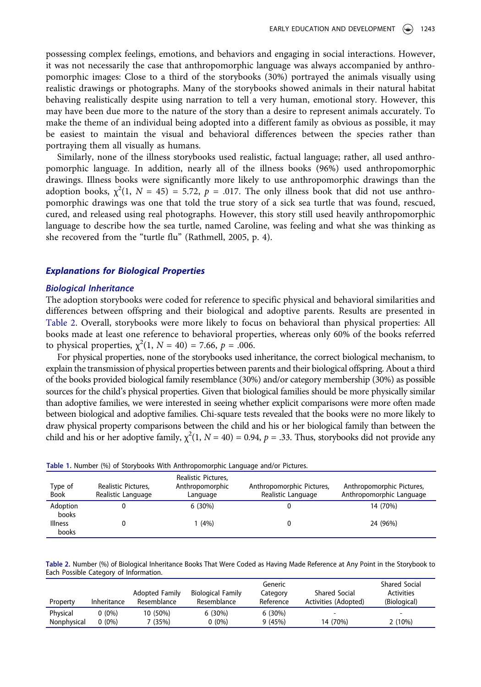possessing complex feelings, emotions, and behaviors and engaging in social interactions. However, it was not necessarily the case that anthropomorphic language was always accompanied by anthropomorphic images: Close to a third of the storybooks (30%) portrayed the animals visually using realistic drawings or photographs. Many of the storybooks showed animals in their natural habitat behaving realistically despite using narration to tell a very human, emotional story. However, this may have been due more to the nature of the story than a desire to represent animals accurately. To make the theme of an individual being adopted into a different family as obvious as possible, it may be easiest to maintain the visual and behavioral differences between the species rather than portraying them all visually as humans.

Similarly, none of the illness storybooks used realistic, factual language; rather, all used anthropomorphic language. In addition, nearly all of the illness books (96%) used anthropomorphic drawings. Illness books were significantly more likely to use anthropomorphic drawings than the adoption books,  $\chi^2(1, N = 45) = 5.72$ ,  $p = .017$ . The only illness book that did not use anthropomorphic drawings was one that told the true story of a sick sea turtle that was found, rescued, cured, and released using real photographs. However, this story still used heavily anthropomorphic language to describe how the sea turtle, named Caroline, was feeling and what she was thinking as she recovered from the "turtle flu" (Rathmell, 2005, p. 4).

# Explanations for Biological Properties

### Biological Inheritance

The adoption storybooks were coded for reference to specific physical and behavioral similarities and differences between offspring and their biological and adoptive parents. Results are presented in [Table 2.](#page-6-1) Overall, storybooks were more likely to focus on behavioral than physical properties: All books made at least one reference to behavioral properties, whereas only 60% of the books referred to physical properties,  $\chi^2(1, N = 40) = 7.66, p = .006$ .

For physical properties, none of the storybooks used inheritance, the correct biological mechanism, to explain the transmission of physical properties between parents and their biological offspring. About a third of the books provided biological family resemblance (30%) and/or category membership (30%) as possible sources for the child's physical properties. Given that biological families should be more physically similar than adoptive families, we were interested in seeing whether explicit comparisons were more often made between biological and adoptive families. Chi-square tests revealed that the books were no more likely to draw physical property comparisons between the child and his or her biological family than between the child and his or her adoptive family,  $\chi^2(1, N = 40) = 0.94$ ,  $p = .33$ . Thus, storybooks did not provide any

| Type of<br><b>Book</b>  | Realistic Pictures,<br>Realistic Language | Realistic Pictures,<br>Anthropomorphic<br>Language | Anthropomorphic Pictures,<br>Realistic Language | Anthropomorphic Pictures,<br>Anthropomorphic Language |
|-------------------------|-------------------------------------------|----------------------------------------------------|-------------------------------------------------|-------------------------------------------------------|
| Adoption<br>books       |                                           | 6(30%)                                             |                                                 | 14 (70%)                                              |
| <b>Illness</b><br>books |                                           | (4% )                                              |                                                 | 24 (96%)                                              |

<span id="page-6-0"></span>Table 1. Number (%) of Storybooks With Anthropomorphic Language and/or Pictures.

<span id="page-6-1"></span>Table 2. Number (%) of Biological Inheritance Books That Were Coded as Having Made Reference at Any Point in the Storybook to Each Possible Category of Information.

|             |             | Generic               |                          |           | Shared Social            |                          |
|-------------|-------------|-----------------------|--------------------------|-----------|--------------------------|--------------------------|
|             |             | <b>Adopted Family</b> | <b>Biological Family</b> | Category  | Shared Social            | <b>Activities</b>        |
| Property    | Inheritance | Resemblance           | Resemblance              | Reference | Activities (Adopted)     | (Biological)             |
| Physical    | $(0\%)$     | 10 (50%)              | 6(30%)                   | 6(30%)    | $\overline{\phantom{0}}$ | $\overline{\phantom{0}}$ |
| Nonphysical | $0(0\%)$    | (35%)                 | $0(0\%)$                 | 9(45%)    | 14 (70%)                 | 2(10%)                   |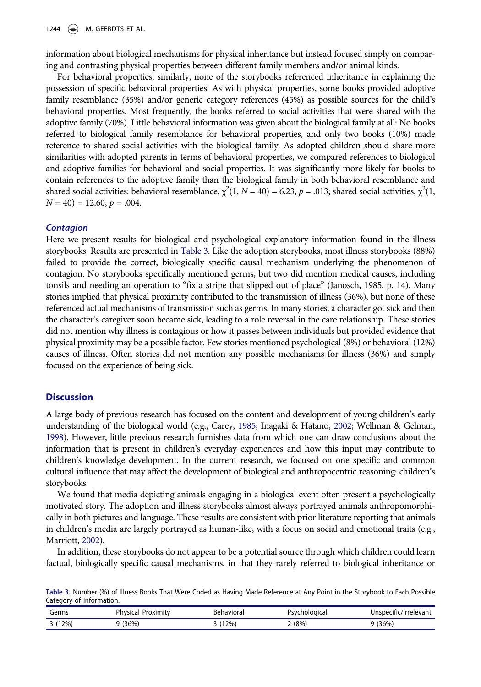information about biological mechanisms for physical inheritance but instead focused simply on comparing and contrasting physical properties between different family members and/or animal kinds.

For behavioral properties, similarly, none of the storybooks referenced inheritance in explaining the possession of specific behavioral properties. As with physical properties, some books provided adoptive family resemblance (35%) and/or generic category references (45%) as possible sources for the child's behavioral properties. Most frequently, the books referred to social activities that were shared with the adoptive family (70%). Little behavioral information was given about the biological family at all: No books referred to biological family resemblance for behavioral properties, and only two books (10%) made reference to shared social activities with the biological family. As adopted children should share more similarities with adopted parents in terms of behavioral properties, we compared references to biological and adoptive families for behavioral and social properties. It was significantly more likely for books to contain references to the adoptive family than the biological family in both behavioral resemblance and shared social activities: behavioral resemblance,  $\chi^2(1, N = 40) = 6.23$ ,  $p = .013$ ; shared social activities,  $\chi^2(1, N = 40)$  $N = 40$ ) = 12.60,  $p = .004$ .

### Contagion

Here we present results for biological and psychological explanatory information found in the illness storybooks. Results are presented in [Table 3.](#page-7-0) Like the adoption storybooks, most illness storybooks (88%) failed to provide the correct, biologically specific causal mechanism underlying the phenomenon of contagion. No storybooks specifically mentioned germs, but two did mention medical causes, including tonsils and needing an operation to "fix a stripe that slipped out of place" (Janosch, 1985, p. 14). Many stories implied that physical proximity contributed to the transmission of illness (36%), but none of these referenced actual mechanisms of transmission such as germs. In many stories, a character got sick and then the character's caregiver soon became sick, leading to a role reversal in the care relationship. These stories did not mention why illness is contagious or how it passes between individuals but provided evidence that physical proximity may be a possible factor. Few stories mentioned psychological (8%) or behavioral (12%) causes of illness. Often stories did not mention any possible mechanisms for illness (36%) and simply focused on the experience of being sick.

# **Discussion**

A large body of previous research has focused on the content and development of young children's early understanding of the biological world (e.g., Carey, [1985;](#page-10-0) Inagaki & Hatano, [2002](#page-10-3); Wellman & Gelman, [1998](#page-11-1)). However, little previous research furnishes data from which one can draw conclusions about the information that is present in children's everyday experiences and how this input may contribute to children's knowledge development. In the current research, we focused on one specific and common cultural influence that may affect the development of biological and anthropocentric reasoning: children's storybooks.

We found that media depicting animals engaging in a biological event often present a psychologically motivated story. The adoption and illness storybooks almost always portrayed animals anthropomorphically in both pictures and language. These results are consistent with prior literature reporting that animals in children's media are largely portrayed as human-like, with a focus on social and emotional traits (e.g., Marriott, [2002](#page-10-17)).

In addition, these storybooks do not appear to be a potential source through which children could learn factual, biologically specific causal mechanisms, in that they rarely referred to biological inheritance or

<span id="page-7-0"></span>Table 3. Number (%) of Illness Books That Were Coded as Having Made Reference at Any Point in the Storybook to Each Possible Category of Information.

| Germs | <b><i>Frovinsity</i></b><br>. OXIIIIILV<br>יי | aviora'.<br>'iorai | <br>uical | specific/Irrelevant |
|-------|-----------------------------------------------|--------------------|-----------|---------------------|
| 12%   | ,36%)                                         | 12%                | (8%<br>∸  | $,36\%)$            |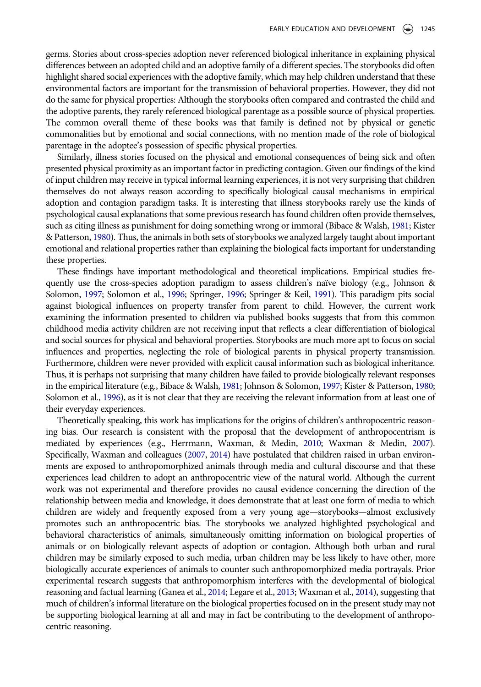germs. Stories about cross-species adoption never referenced biological inheritance in explaining physical differences between an adopted child and an adoptive family of a different species. The storybooks did often highlight shared social experiences with the adoptive family, which may help children understand that these environmental factors are important for the transmission of behavioral properties. However, they did not do the same for physical properties: Although the storybooks often compared and contrasted the child and the adoptive parents, they rarely referenced biological parentage as a possible source of physical properties. The common overall theme of these books was that family is defined not by physical or genetic commonalities but by emotional and social connections, with no mention made of the role of biological parentage in the adoptee's possession of specific physical properties.

Similarly, illness stories focused on the physical and emotional consequences of being sick and often presented physical proximity as an important factor in predicting contagion. Given our findings of the kind of input children may receive in typical informal learning experiences, it is not very surprising that children themselves do not always reason according to specifically biological causal mechanisms in empirical adoption and contagion paradigm tasks. It is interesting that illness storybooks rarely use the kinds of psychological causal explanations that some previous research has found children often provide themselves, such as citing illness as punishment for doing something wrong or immoral (Bibace & Walsh, [1981;](#page-9-0) Kister & Patterson, [1980\)](#page-10-1). Thus, the animals in both sets of storybooks we analyzed largely taught about important emotional and relational properties rather than explaining the biological facts important for understanding these properties.

These findings have important methodological and theoretical implications. Empirical studies frequently use the cross-species adoption paradigm to assess children's naïve biology (e.g., Johnson & Solomon, [1997;](#page-10-6) Solomon et al., [1996](#page-10-2); Springer, [1996;](#page-10-20) Springer & Keil, [1991](#page-11-5)). This paradigm pits social against biological influences on property transfer from parent to child. However, the current work examining the information presented to children via published books suggests that from this common childhood media activity children are not receiving input that reflects a clear differentiation of biological and social sources for physical and behavioral properties. Storybooks are much more apt to focus on social influences and properties, neglecting the role of biological parents in physical property transmission. Furthermore, children were never provided with explicit causal information such as biological inheritance. Thus, it is perhaps not surprising that many children have failed to provide biologically relevant responses in the empirical literature (e.g., Bibace & Walsh, [1981](#page-9-0); Johnson & Solomon, [1997](#page-10-6); Kister & Patterson, [1980;](#page-10-1) Solomon et al., [1996](#page-10-2)), as it is not clear that they are receiving the relevant information from at least one of their everyday experiences.

Theoretically speaking, this work has implications for the origins of children's anthropocentric reasoning bias. Our research is consistent with the proposal that the development of anthropocentrism is mediated by experiences (e.g., Herrmann, Waxman, & Medin, [2010](#page-10-21); Waxman & Medin, [2007](#page-11-6)). Specifically, Waxman and colleagues ([2007,](#page-11-6) [2014](#page-10-18)) have postulated that children raised in urban environments are exposed to anthropomorphized animals through media and cultural discourse and that these experiences lead children to adopt an anthropocentric view of the natural world. Although the current work was not experimental and therefore provides no causal evidence concerning the direction of the relationship between media and knowledge, it does demonstrate that at least one form of media to which children are widely and frequently exposed from a very young age—storybooks—almost exclusively promotes such an anthropocentric bias. The storybooks we analyzed highlighted psychological and behavioral characteristics of animals, simultaneously omitting information on biological properties of animals or on biologically relevant aspects of adoption or contagion. Although both urban and rural children may be similarly exposed to such media, urban children may be less likely to have other, more biologically accurate experiences of animals to counter such anthropomorphized media portrayals. Prior experimental research suggests that anthropomorphism interferes with the developmental of biological reasoning and factual learning (Ganea et al., [2014](#page-10-18); Legare et al., [2013;](#page-10-16) Waxman et al., [2014\)](#page-11-0), suggesting that much of children's informal literature on the biological properties focused on in the present study may not be supporting biological learning at all and may in fact be contributing to the development of anthropocentric reasoning.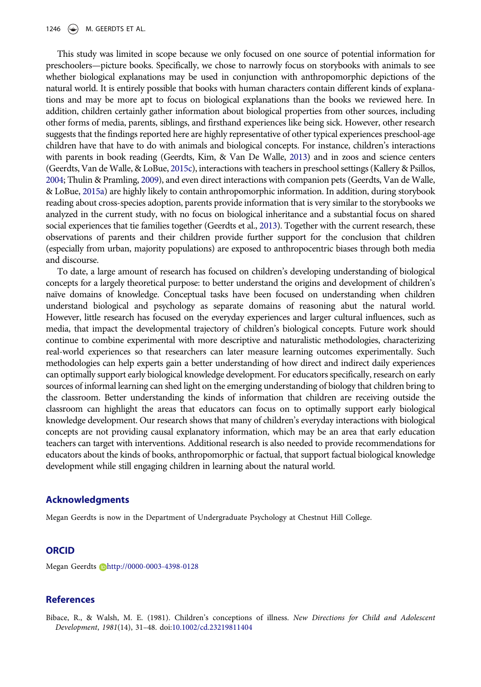This study was limited in scope because we only focused on one source of potential information for preschoolers—picture books. Specifically, we chose to narrowly focus on storybooks with animals to see whether biological explanations may be used in conjunction with anthropomorphic depictions of the natural world. It is entirely possible that books with human characters contain different kinds of explanations and may be more apt to focus on biological explanations than the books we reviewed here. In addition, children certainly gather information about biological properties from other sources, including other forms of media, parents, siblings, and firsthand experiences like being sick. However, other research suggests that the findings reported here are highly representative of other typical experiences preschool-age children have that have to do with animals and biological concepts. For instance, children's interactions with parents in book reading (Geerdts, Kim, & Van De Walle, [2013\)](#page-10-22) and in zoos and science centers (Geerdts, Van de Walle, & LoBue, [2015c](#page-10-23)), interactions with teachers in preschool settings (Kallery & Psillos, [2004](#page-10-24); Thulin & Pramling, [2009](#page-11-7)), and even direct interactions with companion pets (Geerdts, Van de Walle, & LoBue, [2015a](#page-10-25)) are highly likely to contain anthropomorphic information. In addition, during storybook reading about cross-species adoption, parents provide information that is very similar to the storybooks we analyzed in the current study, with no focus on biological inheritance and a substantial focus on shared social experiences that tie families together (Geerdts et al., [2013](#page-10-22)). Together with the current research, these observations of parents and their children provide further support for the conclusion that children (especially from urban, majority populations) are exposed to anthropocentric biases through both media and discourse.

To date, a large amount of research has focused on children's developing understanding of biological concepts for a largely theoretical purpose: to better understand the origins and development of children's naïve domains of knowledge. Conceptual tasks have been focused on understanding when children understand biological and psychology as separate domains of reasoning abut the natural world. However, little research has focused on the everyday experiences and larger cultural influences, such as media, that impact the developmental trajectory of children's biological concepts. Future work should continue to combine experimental with more descriptive and naturalistic methodologies, characterizing real-world experiences so that researchers can later measure learning outcomes experimentally. Such methodologies can help experts gain a better understanding of how direct and indirect daily experiences can optimally support early biological knowledge development. For educators specifically, research on early sources of informal learning can shed light on the emerging understanding of biology that children bring to the classroom. Better understanding the kinds of information that children are receiving outside the classroom can highlight the areas that educators can focus on to optimally support early biological knowledge development. Our research shows that many of children's everyday interactions with biological concepts are not providing causal explanatory information, which may be an area that early education teachers can target with interventions. Additional research is also needed to provide recommendations for educators about the kinds of books, anthropomorphic or factual, that support factual biological knowledge development while still engaging children in learning about the natural world.

# Acknowledgments

Megan Geerdts is now in the Department of Undergraduate Psychology at Chestnut Hill College.

# ORCID

Megan Geerdts D<http://0000-0003-4398-0128>

# References

<span id="page-9-0"></span>Bibace, R., & Walsh, M. E. (1981). Children's conceptions of illness. New Directions for Child and Adolescent Development, 1981(14), 31–48. doi:[10.1002/cd.23219811404](http://dx.doi.org/10.1002/cd.23219811404)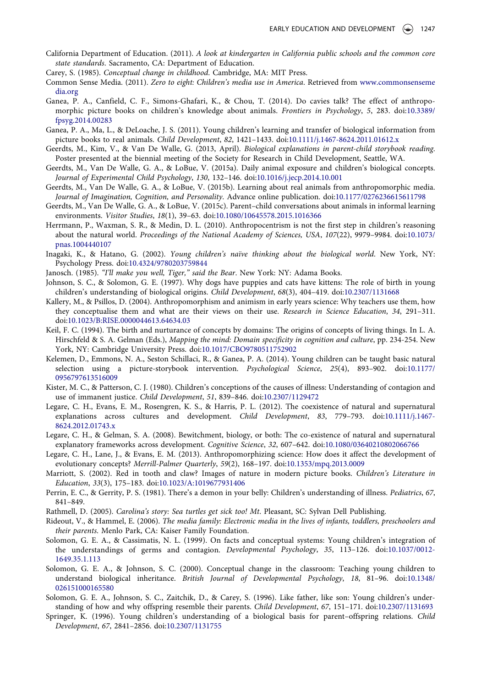- <span id="page-10-19"></span>California Department of Education. (2011). A look at kindergarten in California public schools and the common core state standards. Sacramento, CA: Department of Education.
- <span id="page-10-0"></span>Carey, S. (1985). Conceptual change in childhood. Cambridge, MA: MIT Press.
- <span id="page-10-11"></span>Common Sense Media. (2011). Zero to eight: Children's media use in America. Retrieved from [www.commonsenseme](http://www.commonsensemedia.org) [dia.org](http://www.commonsensemedia.org)
- <span id="page-10-18"></span>Ganea, P. A., Canfield, C. F., Simons-Ghafari, K., & Chou, T. (2014). Do cavies talk? The effect of anthropomorphic picture books on children's knowledge about animals. Frontiers in Psychology, 5, 283. doi:[10.3389/](http://dx.doi.org/10.3389/fpsyg.2014.00283) [fpsyg.2014.00283](http://dx.doi.org/10.3389/fpsyg.2014.00283)
- <span id="page-10-13"></span>Ganea, P. A., Ma, L., & DeLoache, J. S. (2011). Young children's learning and transfer of biological information from picture books to real animals. Child Development, 82, 1421–1433. doi:[10.1111/j.1467-8624.2011.01612.x](http://dx.doi.org/10.1111/j.1467-8624.2011.01612.x)
- <span id="page-10-22"></span>Geerdts, M., Kim, V., & Van De Walle, G. (2013, April). Biological explanations in parent-child storybook reading. Poster presented at the biennial meeting of the Society for Research in Child Development, Seattle, WA.
- <span id="page-10-25"></span>Geerdts, M., Van De Walle, G. A., & LoBue, V. (2015a). Daily animal exposure and children's biological concepts. Journal of Experimental Child Psychology, 130, 132–146. doi:[10.1016/j.jecp.2014.10.001](http://dx.doi.org/10.1016/j.jecp.2014.10.001)
- <span id="page-10-14"></span>Geerdts, M., Van De Walle, G. A., & LoBue, V. (2015b). Learning about real animals from anthropomorphic media. Journal of Imagination, Cognition, and Personality. Advance online publication. doi:[10.1177/0276236615611798](http://dx.doi.org/10.1177/0276236615611798)
- <span id="page-10-23"></span>Geerdts, M., Van De Walle, G. A., & LoBue, V. (2015c). Parent–child conversations about animals in informal learning environments. Visitor Studies, 18(1), 39–63. doi:[10.1080/10645578.2015.1016366](http://dx.doi.org/10.1080/10645578.2015.1016366)
- <span id="page-10-21"></span>Herrmann, P., Waxman, S. R., & Medin, D. L. (2010). Anthropocentrism is not the first step in children's reasoning about the natural world. Proceedings of the National Academy of Sciences, USA, 107(22), 9979–9984. doi:[10.1073/](http://dx.doi.org/10.1073/pnas.1004440107) [pnas.1004440107](http://dx.doi.org/10.1073/pnas.1004440107)
- <span id="page-10-3"></span>Inagaki, K., & Hatano, G. (2002). Young children's naïve thinking about the biological world. New York, NY: Psychology Press. doi:[10.4324/9780203759844](http://dx.doi.org/10.4324/9780203759844)
- Janosch. (1985). "I'll make you well, Tiger," said the Bear. New York: NY: Adama Books.
- <span id="page-10-6"></span>Johnson, S. C., & Solomon, G. E. (1997). Why dogs have puppies and cats have kittens: The role of birth in young children's understanding of biological origins. Child Development, 68(3), 404–419. doi:[10.2307/1131668](http://dx.doi.org/10.2307/1131668)
- <span id="page-10-24"></span>Kallery, M., & Psillos, D. (2004). Anthropomorphism and animism in early years science: Why teachers use them, how they conceptualise them and what are their views on their use. Research in Science Education, 34, 291-311. doi:[10.1023/B:RISE.0000044613.64634.03](http://dx.doi.org/10.1023/B:RISE.0000044613.64634.03)
- <span id="page-10-4"></span>Keil, F. C. (1994). The birth and nurturance of concepts by domains: The origins of concepts of living things. In L. A. Hirschfeld & S. A. Gelman (Eds.), Mapping the mind: Domain specificity in cognition and culture, pp. 234-254. New York, NY: Cambridge University Press. doi:[10.1017/CBO9780511752902](http://dx.doi.org/10.1017/CBO9780511752902)
- <span id="page-10-15"></span>Kelemen, D., Emmons, N. A., Seston Schillaci, R., & Ganea, P. A. (2014). Young children can be taught basic natural selection using a picture-storybook intervention. Psychological Science, 25(4), 893–902. doi:[10.1177/](http://dx.doi.org/10.1177/0956797613516009) [0956797613516009](http://dx.doi.org/10.1177/0956797613516009)
- <span id="page-10-1"></span>Kister, M. C., & Patterson, C. J. (1980). Children's conceptions of the causes of illness: Understanding of contagion and use of immanent justice. Child Development, 51, 839–846. doi:[10.2307/1129472](http://dx.doi.org/10.2307/1129472)
- <span id="page-10-9"></span>Legare, C. H., Evans, E. M., Rosengren, K. S., & Harris, P. L. (2012). The coexistence of natural and supernatural explanations across cultures and development. Child Development, 83, 779–793. doi:[10.1111/j.1467-](http://dx.doi.org/10.1111/j.1467-8624.2012.01743.x) [8624.2012.01743.x](http://dx.doi.org/10.1111/j.1467-8624.2012.01743.x)
- <span id="page-10-10"></span>Legare, C. H., & Gelman, S. A. (2008). Bewitchment, biology, or both: The co-existence of natural and supernatural explanatory frameworks across development. Cognitive Science, 32, 607–642. doi:[10.1080/03640210802066766](http://dx.doi.org/10.1080/03640210802066766)
- <span id="page-10-16"></span>Legare, C. H., Lane, J., & Evans, E. M. (2013). Anthropomorphizing science: How does it affect the development of evolutionary concepts? Merrill-Palmer Quarterly, 59(2), 168–197. doi:[10.1353/mpq.2013.0009](http://dx.doi.org/10.1353/mpq.2013.0009)
- <span id="page-10-17"></span>Marriott, S. (2002). Red in tooth and claw? Images of nature in modern picture books. Children's Literature in Education, 33(3), 175–183. doi:[10.1023/A:1019677931406](http://dx.doi.org/10.1023/A:1019677931406)
- <span id="page-10-7"></span>Perrin, E. C., & Gerrity, P. S. (1981). There's a demon in your belly: Children's understanding of illness. Pediatrics, 67, 841–849.
- Rathmell, D. (2005). Carolina's story: Sea turtles get sick too! Mt. Pleasant, SC: Sylvan Dell Publishing.
- <span id="page-10-12"></span>Rideout, V., & Hammel, E. (2006). The media family: Electronic media in the lives of infants, toddlers, preschoolers and their parents. Menlo Park, CA: Kaiser Family Foundation.
- <span id="page-10-8"></span>Solomon, G. E. A., & Cassimatis, N. L. (1999). On facts and conceptual systems: Young children's integration of the understandings of germs and contagion. Developmental Psychology, 35, 113–126. doi:[10.1037/0012-](http://dx.doi.org/10.1037/0012-1649.35.1.113) [1649.35.1.113](http://dx.doi.org/10.1037/0012-1649.35.1.113)
- <span id="page-10-5"></span>Solomon, G. E. A., & Johnson, S. C. (2000). Conceptual change in the classroom: Teaching young children to understand biological inheritance. British Journal of Developmental Psychology, 18, 81–96. doi:[10.1348/](http://dx.doi.org/10.1348/026151000165580) [026151000165580](http://dx.doi.org/10.1348/026151000165580)
- <span id="page-10-2"></span>Solomon, G. E. A., Johnson, S. C., Zaitchik, D., & Carey, S. (1996). Like father, like son: Young children's understanding of how and why offspring resemble their parents. Child Development, 67, 151–171. doi:[10.2307/1131693](http://dx.doi.org/10.2307/1131693)
- <span id="page-10-20"></span>Springer, K. (1996). Young children's understanding of a biological basis for parent–offspring relations. Child Development, 67, 2841–2856. doi:[10.2307/1131755](http://dx.doi.org/10.2307/1131755)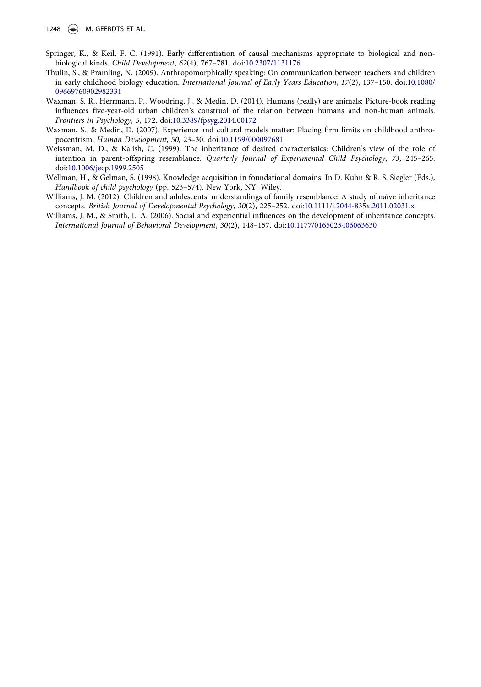- <span id="page-11-5"></span>Springer, K., & Keil, F. C. (1991). Early differentiation of causal mechanisms appropriate to biological and nonbiological kinds. Child Development, 62(4), 767–781. doi:[10.2307/1131176](http://dx.doi.org/10.2307/1131176)
- <span id="page-11-7"></span>Thulin, S., & Pramling, N. (2009). Anthropomorphically speaking: On communication between teachers and children in early childhood biology education. International Journal of Early Years Education, 17(2), 137–150. doi:[10.1080/](http://dx.doi.org/10.1080/09669760902982331) [09669760902982331](http://dx.doi.org/10.1080/09669760902982331)
- <span id="page-11-0"></span>Waxman, S. R., Herrmann, P., Woodring, J., & Medin, D. (2014). Humans (really) are animals: Picture-book reading influences five-year-old urban children's construal of the relation between humans and non-human animals. Frontiers in Psychology, 5, 172. doi:[10.3389/fpsyg.2014.00172](http://dx.doi.org/10.3389/fpsyg.2014.00172)
- <span id="page-11-6"></span>Waxman, S., & Medin, D. (2007). Experience and cultural models matter: Placing firm limits on childhood anthropocentrism. Human Development, 50, 23–30. doi:[10.1159/000097681](http://dx.doi.org/10.1159/000097681)
- <span id="page-11-2"></span>Weissman, M. D., & Kalish, C. (1999). The inheritance of desired characteristics: Children's view of the role of intention in parent-offspring resemblance. Quarterly Journal of Experimental Child Psychology, 73, 245–265. doi:[10.1006/jecp.1999.2505](http://dx.doi.org/10.1006/jecp.1999.2505)
- <span id="page-11-1"></span>Wellman, H., & Gelman, S. (1998). Knowledge acquisition in foundational domains. In D. Kuhn & R. S. Siegler (Eds.), Handbook of child psychology (pp. 523–574). New York, NY: Wiley.
- <span id="page-11-3"></span>Williams, J. M. (2012). Children and adolescents' understandings of family resemblance: A study of naïve inheritance concepts. British Journal of Developmental Psychology, 30(2), 225–252. doi:[10.1111/j.2044-835x.2011.02031.x](http://dx.doi.org/10.1111/j.2044-835x.2011.02031.x)
- <span id="page-11-4"></span>Williams, J. M., & Smith, L. A. (2006). Social and experiential influences on the development of inheritance concepts. International Journal of Behavioral Development, 30(2), 148–157. doi:[10.1177/0165025406063630](http://dx.doi.org/10.1177/0165025406063630)